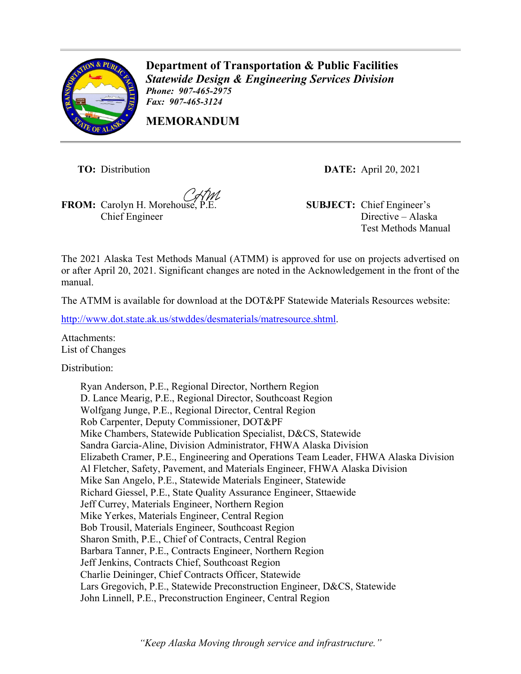

**Department of Transportation & Public Facilities** *Statewide Design & Engineering Services Division Phone: 907-465-2975 Fax: 907-465-3124*

**MEMORANDUM**

Chief Engineer

**TO:** Distribution **DATE:** April 20, 2021

**FROM:** Carolyn H. Morehouse, P.E. **SUBJECT:** Chief Engineer's Directive – Alaska Test Methods Manual

The 2021 Alaska Test Methods Manual (ATMM) is approved for use on projects advertised on or after April 20, 2021. Significant changes are noted in the Acknowledgement in the front of the manual.

The ATMM is available for download at the DOT&PF Statewide Materials Resources website:

[http://www.dot.state.ak.us/stwddes/desmaterials/matresource.shtml.](http://www.dot.state.ak.us/stwddes/desmaterials/mat_resource.shtml)

Attachments: List of Changes

Distribution:

Ryan Anderson, P.E., Regional Director, Northern Region D. Lance Mearig, P.E., Regional Director, Southcoast Region Wolfgang Junge, P.E., Regional Director, Central Region Rob Carpenter, Deputy Commissioner, DOT&PF Mike Chambers, Statewide Publication Specialist, D&CS, Statewide Sandra Garcia-Aline, Division Administrator, FHWA Alaska Division Elizabeth Cramer, P.E., Engineering and Operations Team Leader, FHWA Alaska Division Al Fletcher, Safety, Pavement, and Materials Engineer, FHWA Alaska Division Mike San Angelo, P.E., Statewide Materials Engineer, Statewide Richard Giessel, P.E., State Quality Assurance Engineer, Sttaewide Jeff Currey, Materials Engineer, Northern Region Mike Yerkes, Materials Engineer, Central Region Bob Trousil, Materials Engineer, Southcoast Region Sharon Smith, P.E., Chief of Contracts, Central Region Barbara Tanner, P.E., Contracts Engineer, Northern Region Jeff Jenkins, Contracts Chief, Southcoast Region Charlie Deininger, Chief Contracts Officer, Statewide Lars Gregovich, P.E., Statewide Preconstruction Engineer, D&CS, Statewide John Linnell, P.E., Preconstruction Engineer, Central Region